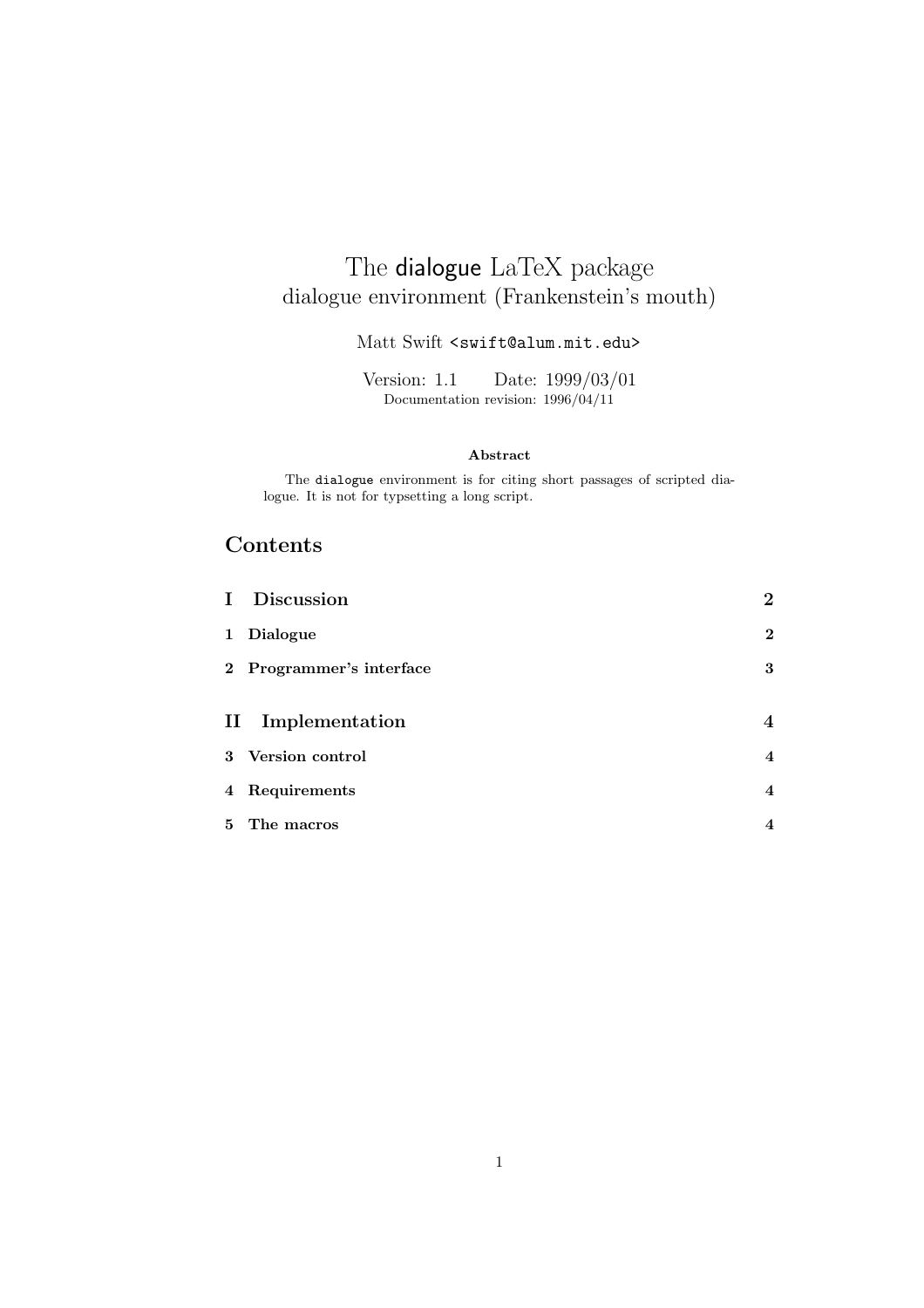## The dialogue LaTeX package dialogue environment (Frankenstein's mouth)

#### Matt Swift <swift@alum.mit.edu>

Version: 1.1 Date: 1999/03/01 Documentation revision: 1996/04/11

#### **Abstract**

The dialogue environment is for citing short passages of scripted dialogue. It is not for typsetting a long script.

### **Contents**

| I Discussion             | $\mathbf{2}$            |
|--------------------------|-------------------------|
| 1 Dialogue               | $\overline{2}$          |
| 2 Programmer's interface | 3                       |
|                          |                         |
| II Implementation        | 4                       |
| 3 Version control        | $\overline{4}$          |
| 4 Requirements           | $\overline{\mathbf{4}}$ |
| 5 The macros             | $\overline{\mathbf{4}}$ |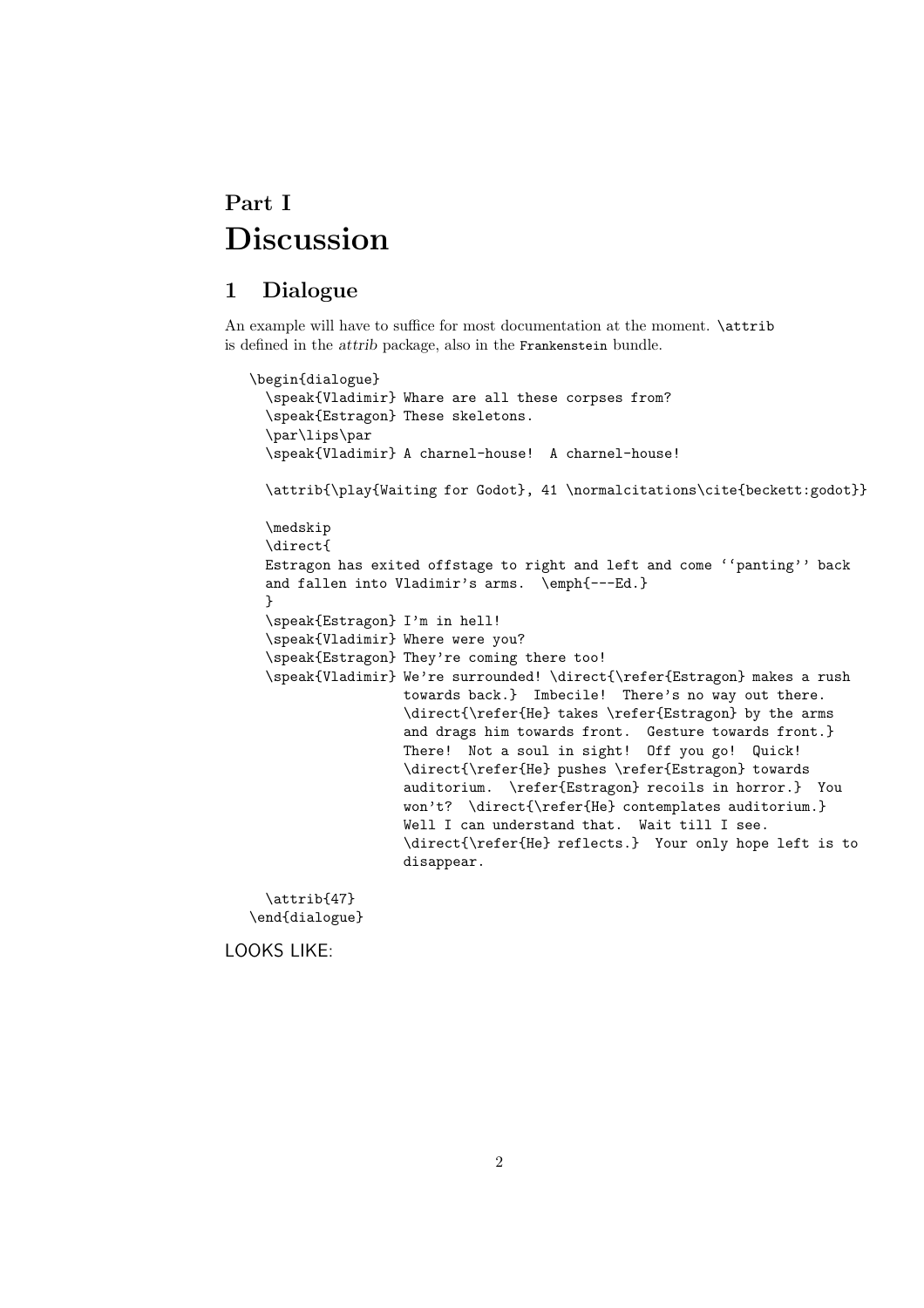## **Part I Discussion**

### **1 Dialogue**

An example will have to suffice for most documentation at the moment.  $\text{attribute}$ is defined in the *attrib* package, also in the Frankenstein bundle.

```
\begin{dialogue}
  \speak{Vladimir} Whare are all these corpses from?
 \speak{Estragon} These skeletons.
 \par\lips\par
 \speak{Vladimir} A charnel-house! A charnel-house!
 \attrib{\play{Waiting for Godot}, 41 \normalcitations\cite{beckett:godot}}
 \medskip
 \direct{
 Estragon has exited offstage to right and left and come ''panting'' back
 and fallen into Vladimir's arms. \emph{---Ed.}
 }
 \speak{Estragon} I'm in hell!
 \speak{Vladimir} Where were you?
 \speak{Estragon} They're coming there too!
 \speak{Vladimir} We're surrounded! \direct{\refer{Estragon} makes a rush
                  towards back.} Imbecile! There's no way out there.
                  \direct{\refer{He} takes \refer{Estragon} by the arms
                  and drags him towards front. Gesture towards front.}
                  There! Not a soul in sight! Off you go! Quick!
                  \direct{\refer{He} pushes \refer{Estragon} towards
                  auditorium. \refer{Estragon} recoils in horror.} You
                  won't? \direct{\refer{He} contemplates auditorium.}
                  Well I can understand that. Wait till I see.
                  \direct{\refer{He} reflects.} Your only hope left is to
                  disappear.
```
\attrib{47} \end{dialogue}

LOOKS LIKE: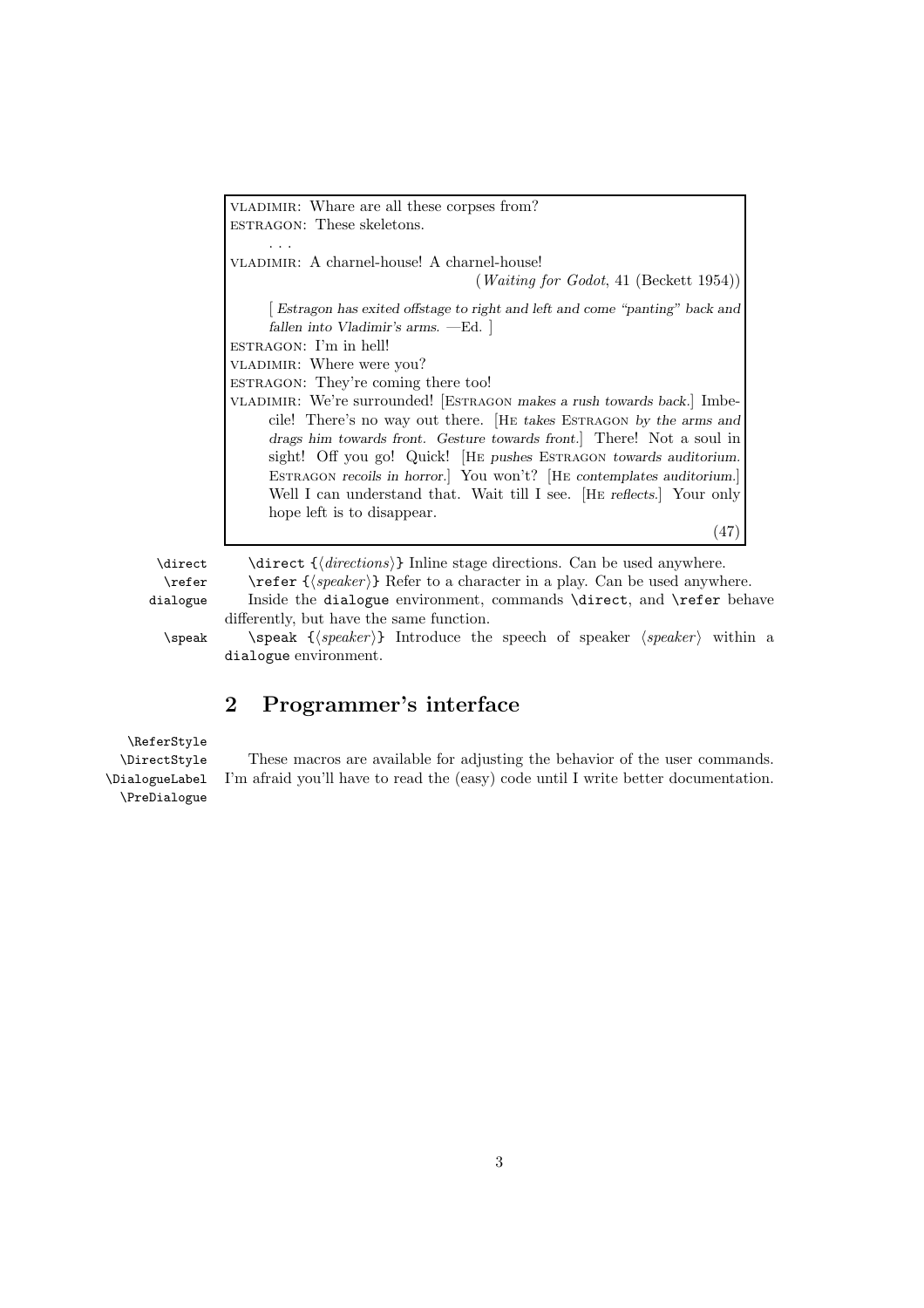vladimir: Whare are all these corpses from? estragon: These skeletons. ... vladimir: A charnel-house! A charnel-house! (*Waiting for Godot*, 41 (Beckett 1954)) [ *Estragon has exited offstage to right and left and come "panting" back and fallen into Vladimir's arms.* —Ed. ] estragon: I'm in hell! vladimir: Where were you? ESTRAGON: They're coming there too! vladimir: We're surrounded! [Estragon *makes a rush towards back.*] Imbecile! There's no way out there. [He *takes* Estragon *by the arms and drags him towards front. Gesture towards front.*] There! Not a soul in sight! Off you go! Quick! [HE *pushes* ESTRAGON *towards auditorium.* Estragon *recoils in horror.*] You won't? [He *contemplates auditorium.*] Well I can understand that. Wait till I see. [He *reflects.*] Your only hope left is to disappear. (47)

\direct \direct {\directions}} Inline stage directions. Can be used anywhere. \refer \refer {\speaker}} Refer to a character in a play. Can be used anywhere.

dialogue Inside the dialogue environment, commands \direct, and \refer behave differently, but have the same function.

 $\searrow$   $\searrow$   ${\searrow}$   $\searrow$   ${\searrow}$   $\searrow$   ${\searrow}$   ${\searrow}$   ${\searrow}$   ${\searrow}$   ${\searrow}$   ${\searrow}$   ${\searrow}$   ${\searrow}$   ${\searrow}$   ${\searrow}$   ${\searrow}$   ${\searrow}$   ${\searrow}$   ${\searrow}$   ${\searrow}$   ${\searrow}$   ${\searrow}$   ${\searrow}$   ${\searrow}$   ${\searrow}$   ${\searrow}$   ${\searrow}$   ${\searrow}$   ${\searrow}$   ${\searrow}$   ${\searrow}$  dialogue environment.

### **2 Programmer's interface**

\ReferStyle \DirectStyle \DialogueLabel \PreDialogue

These macros are available for adjusting the behavior of the user commands. I'm afraid you'll have to read the (easy) code until I write better documentation.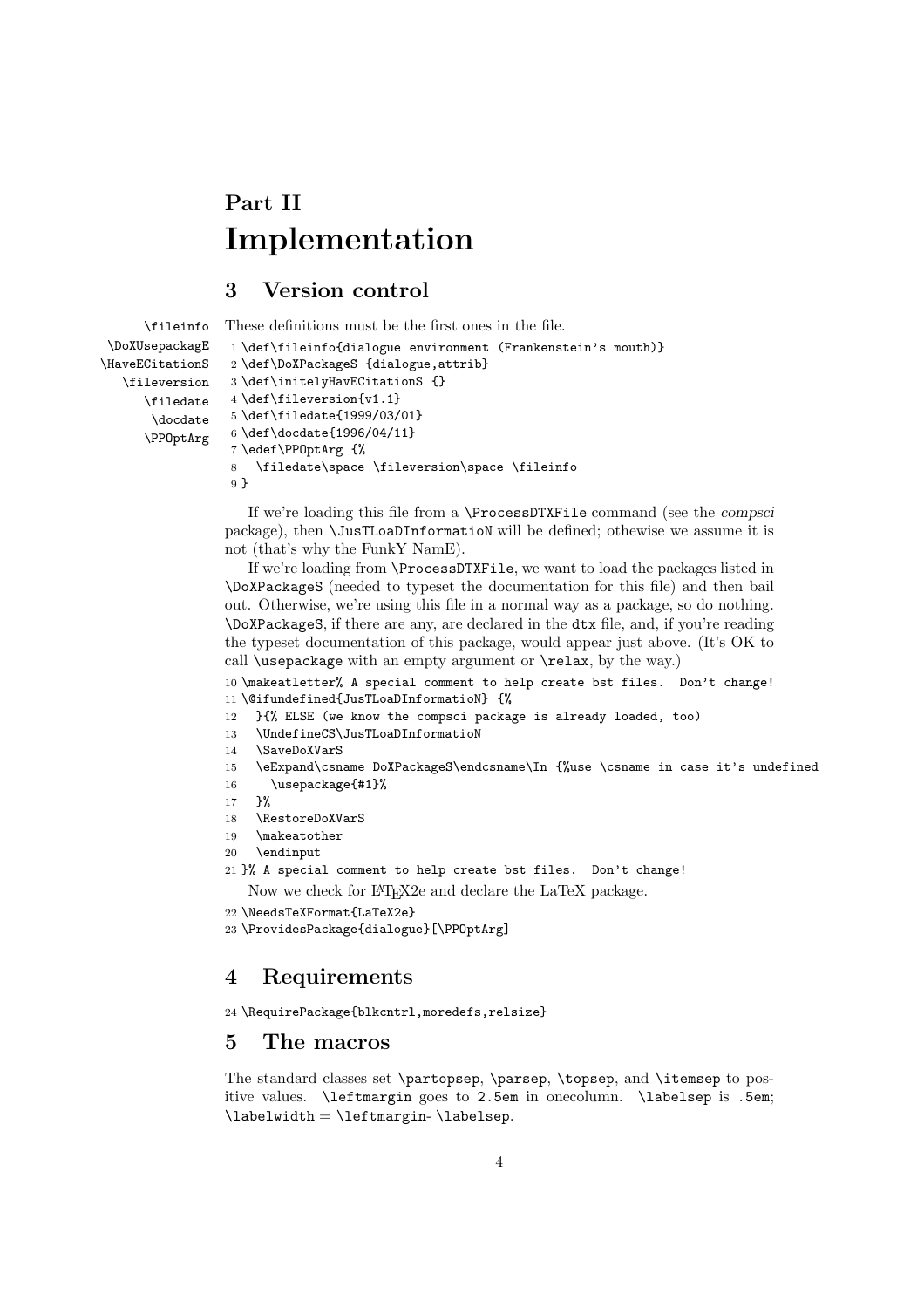# **Part II Implementation**

### **3 Version control**

```
\fileinfo
 \DoXUsepackagE
\HaveECitationS
   \fileversion
      \filedate
       \docdate
      \PPOptArg
                 These definitions must be the first ones in the file.
                  1 \def\fileinfo{dialogue environment (Frankenstein's mouth)}
                  2 \def\DoXPackageS {dialogue,attrib}
                  3 \def\initelyHavECitationS {}
                  4 \def\fileversion{v1.1}
                  5 \def\filedate{1999/03/01}
                  6 \def\docdate{1996/04/11}
                  7 \edef\PPOptArg {%
                  8 \filedate\space \fileversion\space \fileinfo
                  9 }
```
If we're loading this file from a \ProcessDTXFile command (see the *compsci* package), then \JusTLoaDInformatioN will be defined; othewise we assume it is not (that's why the FunkY NamE).

If we're loading from \ProcessDTXFile, we want to load the packages listed in \DoXPackageS (needed to typeset the documentation for this file) and then bail out. Otherwise, we're using this file in a normal way as a package, so do nothing. \DoXPackageS, if there are any, are declared in the dtx file, and, if you're reading the typeset documentation of this package, would appear just above. (It's OK to call \usepackage with an empty argument or \relax, by the way.)

10 \makeatletter% A special comment to help create bst files. Don't change! 11 \@ifundefined{JusTLoaDInformatioN} {%

- 12 }{% ELSE (we know the compsci package is already loaded, too)
- 13 \UndefineCS\JusTLoaDInformatioN
- 14 \SaveDoXVarS

15 \eExpand\csname DoXPackageS\endcsname\In {%use \csname in case it's undefined 16 \usepackage{#1}%

- 17 }%
- 18 \RestoreDoXVarS
- 19 \makeatother
- 20 \endinput

```
21 }% A special comment to help create bst files. Don't change!
```
Now we check for LATEX2e and declare the LaTeX package.

22 \NeedsTeXFormat{LaTeX2e}

```
23 \ProvidesPackage{dialogue}[\PPOptArg]
```
### **4 Requirements**

```
24 \RequirePackage{blkcntrl,moredefs,relsize}
```
#### **5 The macros**

The standard classes set \partopsep, \parsep, \topsep, and \itemsep to positive values. \leftmargin goes to 2.5em in onecolumn. \labelsep is .5em;  $\label{label}$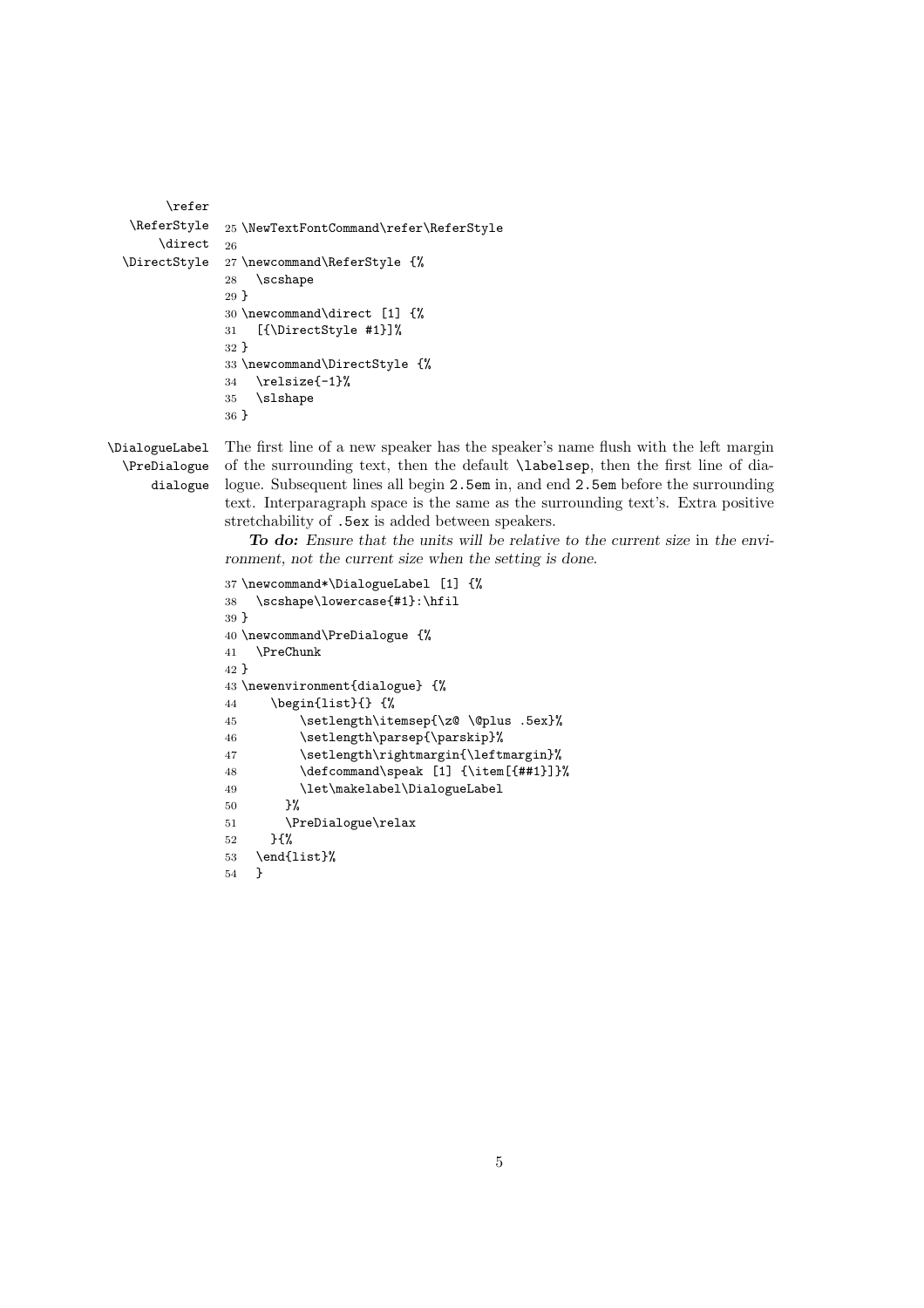```
\refer
\ReferStyle
     \direct
\DirectStyle
              25 \NewTextFontCommand\refer\ReferStyle
             26
             27 \newcommand\ReferStyle {%
              28 \scshape
              29 }
              30 \newcommand\direct [1] {%
              31 [{\DirectStyle #1}]%
              32 }
              33 \newcommand\DirectStyle {%
              34 \relsize{-1}%
              35 \slshape
              36 }
```
\DialogueLabel \PreDialogue dialogue

The first line of a new speaker has the speaker's name flush with the left margin of the surrounding text, then the default \labelsep, then the first line of dialogue. Subsequent lines all begin 2.5em in, and end 2.5em before the surrounding text. Interparagraph space is the same as the surrounding text's. Extra positive stretchability of .5ex is added between speakers.

*To do: Ensure that the units will be relative to the current size* in *the environment, not the current size when the setting is done.*

```
37 \newcommand*\DialogueLabel [1] {%
38 \scshape\lowercase{#1}:\hfil
39 }
40 \newcommand\PreDialogue {%
41 \PreChunk
42 }
43 \newenvironment{dialogue} {%
44 \begin{list}{} {%
45 \setlength\itemsep{\z@ \@plus .5ex}%
46 \setlength\parsep{\parskip}%<br>47 \setlength\rightmargin{\left
          \setlength\rightmargin{\leftmargin}%
48 \defcommand\speak [1] {\item[{##1}]}%
49 \let\makelabel\DialogueLabel
50 }%
51 \PreDialogue\relax
52 }{%
53 \end{list}%
54 }
```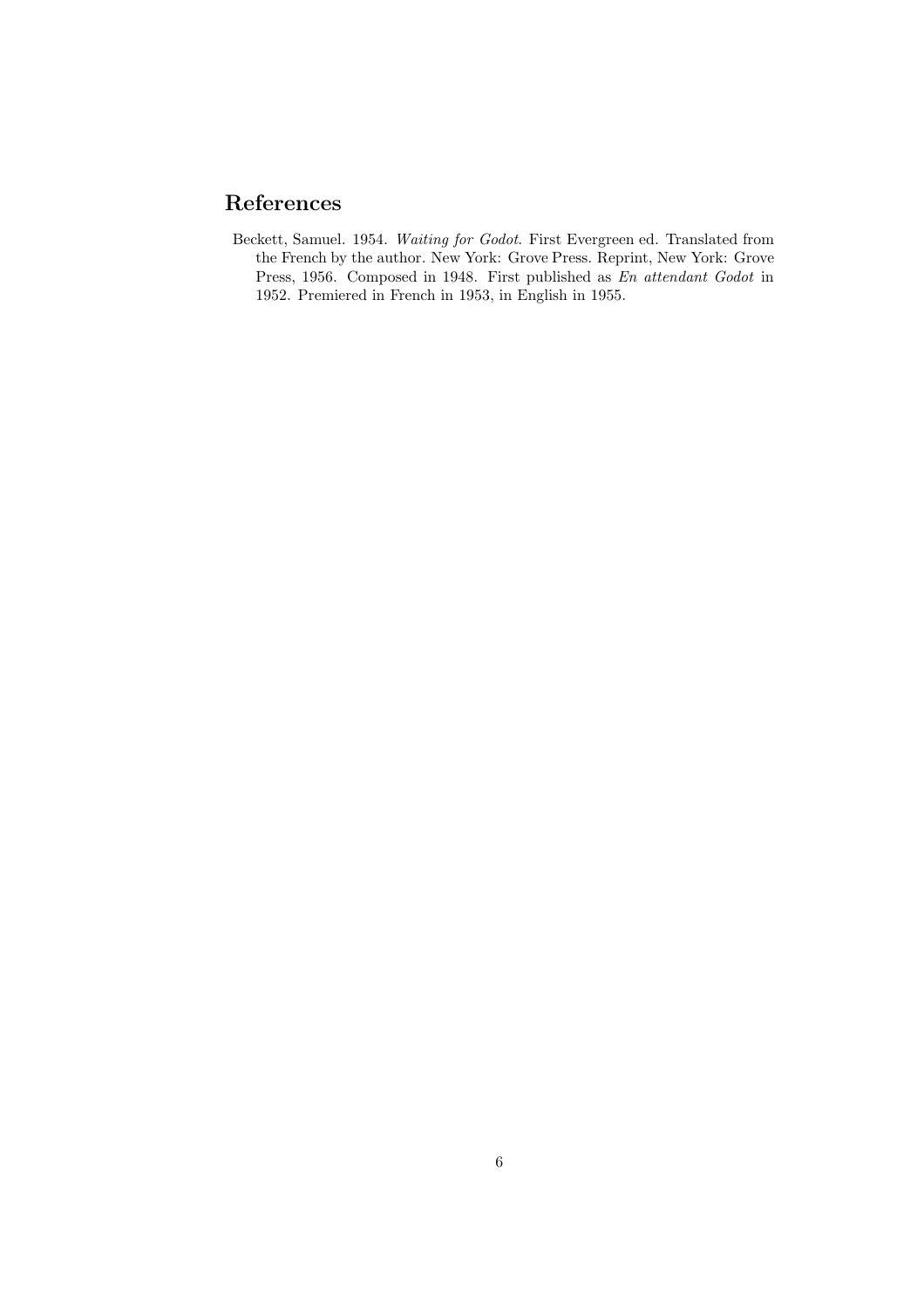## **References**

Beckett, Samuel. 1954. *Waiting for Godot*. First Evergreen ed. Translated from the French by the author. New York: Grove Press. Reprint, New York: Grove Press, 1956. Composed in 1948. First published as *En attendant Godot* in 1952. Premiered in French in 1953, in English in 1955.